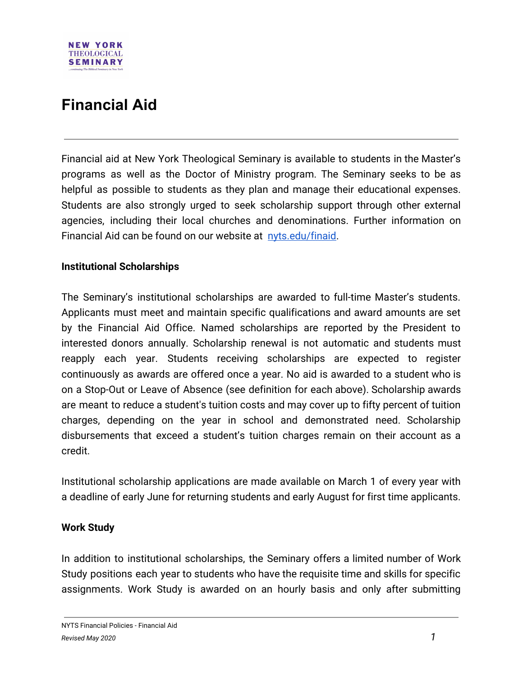# **Financial Aid**

**NEW YORK THEOLOGICAL SEMINARY** 

Financial aid at New York Theological Seminary is available to students in the Master's programs as well as the Doctor of Ministry program. The Seminary seeks to be as helpful as possible to students as they plan and manage their educational expenses. Students are also strongly urged to seek scholarship support through other external agencies, including their local churches and denominations. Further information on Financial Aid can be found on our website at [nyts.edu/finaid.](https://www.nyts.edu/finaid)

### **Institutional Scholarships**

The Seminary's institutional scholarships are awarded to full-time Master's students. Applicants must meet and maintain specific qualifications and award amounts are set by the Financial Aid Office. Named scholarships are reported by the President to interested donors annually. Scholarship renewal is not automatic and students must reapply each year. Students receiving scholarships are expected to register continuously as awards are offered once a year. No aid is awarded to a student who is on a Stop-Out or Leave of Absence (see definition for each above). Scholarship awards are meant to reduce a student's tuition costs and may cover up to fifty percent of tuition charges, depending on the year in school and demonstrated need. Scholarship disbursements that exceed a student's tuition charges remain on their account as a credit.

Institutional scholarship applications are made available on March 1 of every year with a deadline of early June for returning students and early August for first time applicants.

#### **Work Study**

In addition to institutional scholarships, the Seminary offers a limited number of Work Study positions each year to students who have the requisite time and skills for specific assignments. Work Study is awarded on an hourly basis and only after submitting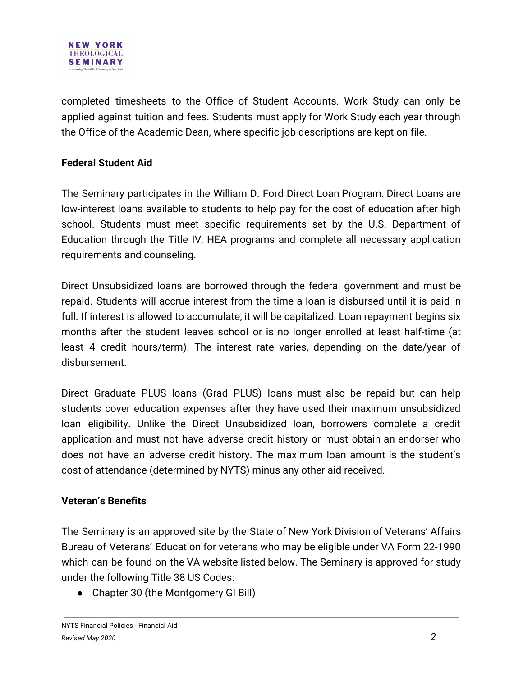

completed timesheets to the Office of Student Accounts. Work Study can only be applied against tuition and fees. Students must apply for Work Study each year through the Office of the Academic Dean, where specific job descriptions are kept on file.

## **Federal Student Aid**

The Seminary participates in the William D. Ford Direct Loan Program. Direct Loans are low-interest loans available to students to help pay for the cost of education after high school. Students must meet specific requirements set by the U.S. Department of Education through the Title IV, HEA programs and complete all necessary application requirements and counseling.

Direct Unsubsidized loans are borrowed through the federal government and must be repaid. Students will accrue interest from the time a loan is disbursed until it is paid in full. If interest is allowed to accumulate, it will be capitalized. Loan repayment begins six months after the student leaves school or is no longer enrolled at least half-time (at least 4 credit hours/term). The interest rate varies, depending on the date/year of disbursement.

Direct Graduate PLUS loans (Grad PLUS) loans must also be repaid but can help students cover education expenses after they have used their maximum unsubsidized loan eligibility. Unlike the Direct Unsubsidized loan, borrowers complete a credit application and must not have adverse credit history or must obtain an endorser who does not have an adverse credit history. The maximum loan amount is the student's cost of attendance (determined by NYTS) minus any other aid received.

## **Veteran's Benefits**

The Seminary is an approved site by the State of New York Division of Veterans' Affairs Bureau of Veterans' Education for veterans who may be eligible under VA Form 22-1990 which can be found on the VA website listed below. The Seminary is approved for study under the following Title 38 US Codes:

• Chapter 30 (the Montgomery GI Bill)